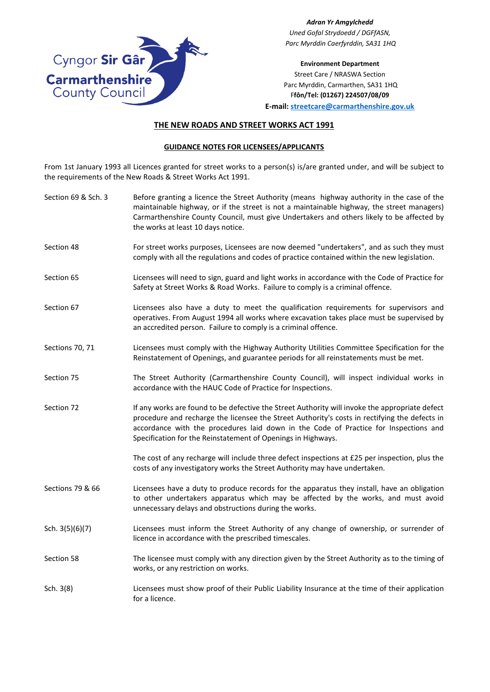

*Adran Yr Amgylchedd Uned Gofal Strydoedd / DGFfASN, Parc Myrddin Caerfyrddin, SA31 1HQ*

**Environment Department** Street Care / NRASWA Section Parc Myrddin, Carmarthen, SA31 1HQ F**fôn/Tel: (01267) 224507/08/09**

**E-mail[: streetcare@carmarthenshire.gov.uk](file://///ntcarmcc/home/Home04/MJJones/Mel/streetcare@carmarthenshire.gov.uk)**

### **THE NEW ROADS AND STREET WORKS ACT 1991**

#### **GUIDANCE NOTES FOR LICENSEES/APPLICANTS**

From 1st January 1993 all Licences granted for street works to a person(s) is/are granted under, and will be subject to the requirements of the New Roads & Street Works Act 1991.

| Section 69 & Sch. 3 | Before granting a licence the Street Authority (means highway authority in the case of the<br>maintainable highway, or if the street is not a maintainable highway, the street managers)<br>Carmarthenshire County Council, must give Undertakers and others likely to be affected by<br>the works at least 10 days notice.                             |
|---------------------|---------------------------------------------------------------------------------------------------------------------------------------------------------------------------------------------------------------------------------------------------------------------------------------------------------------------------------------------------------|
| Section 48          | For street works purposes, Licensees are now deemed "undertakers", and as such they must<br>comply with all the regulations and codes of practice contained within the new legislation.                                                                                                                                                                 |
| Section 65          | Licensees will need to sign, guard and light works in accordance with the Code of Practice for<br>Safety at Street Works & Road Works. Failure to comply is a criminal offence.                                                                                                                                                                         |
| Section 67          | Licensees also have a duty to meet the qualification requirements for supervisors and<br>operatives. From August 1994 all works where excavation takes place must be supervised by<br>an accredited person. Failure to comply is a criminal offence.                                                                                                    |
| Sections 70, 71     | Licensees must comply with the Highway Authority Utilities Committee Specification for the<br>Reinstatement of Openings, and guarantee periods for all reinstatements must be met.                                                                                                                                                                      |
| Section 75          | The Street Authority (Carmarthenshire County Council), will inspect individual works in<br>accordance with the HAUC Code of Practice for Inspections.                                                                                                                                                                                                   |
| Section 72          | If any works are found to be defective the Street Authority will invoke the appropriate defect<br>procedure and recharge the licensee the Street Authority's costs in rectifying the defects in<br>accordance with the procedures laid down in the Code of Practice for Inspections and<br>Specification for the Reinstatement of Openings in Highways. |
|                     | The cost of any recharge will include three defect inspections at £25 per inspection, plus the<br>costs of any investigatory works the Street Authority may have undertaken.                                                                                                                                                                            |
| Sections 79 & 66    | Licensees have a duty to produce records for the apparatus they install, have an obligation<br>to other undertakers apparatus which may be affected by the works, and must avoid<br>unnecessary delays and obstructions during the works.                                                                                                               |
| Sch. 3(5)(6)(7)     | Licensees must inform the Street Authority of any change of ownership, or surrender of<br>licence in accordance with the prescribed timescales.                                                                                                                                                                                                         |
| Section 58          | The licensee must comply with any direction given by the Street Authority as to the timing of<br>works, or any restriction on works.                                                                                                                                                                                                                    |
| Sch. 3(8)           | Licensees must show proof of their Public Liability Insurance at the time of their application<br>for a licence.                                                                                                                                                                                                                                        |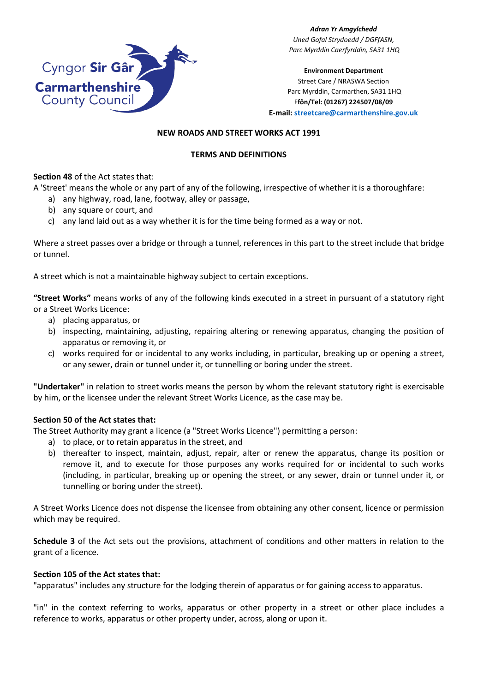

*Adran Yr Amgylchedd Uned Gofal Strydoedd / DGFfASN, Parc Myrddin Caerfyrddin, SA31 1HQ*

**Environment Department** Street Care / NRASWA Section Parc Myrddin, Carmarthen, SA31 1HQ F**fôn/Tel: (01267) 224507/08/09**

**E-mail: [streetcare@carmarthenshire.gov.uk](file://///ntcarmcc/home/Home04/MJJones/Mel/streetcare@carmarthenshire.gov.uk)**

# **NEW ROADS AND STREET WORKS ACT 1991**

### **TERMS AND DEFINITIONS**

# **Section 48** of the Act states that:

A 'Street' means the whole or any part of any of the following, irrespective of whether it is a thoroughfare:

- a) any highway, road, lane, footway, alley or passage,
- b) any square or court, and
- c) any land laid out as a way whether it is for the time being formed as a way or not.

Where a street passes over a bridge or through a tunnel, references in this part to the street include that bridge or tunnel.

A street which is not a maintainable highway subject to certain exceptions.

**"Street Works"** means works of any of the following kinds executed in a street in pursuant of a statutory right or a Street Works Licence:

- a) placing apparatus, or
- b) inspecting, maintaining, adjusting, repairing altering or renewing apparatus, changing the position of apparatus or removing it, or
- c) works required for or incidental to any works including, in particular, breaking up or opening a street, or any sewer, drain or tunnel under it, or tunnelling or boring under the street.

**"Undertaker"** in relation to street works means the person by whom the relevant statutory right is exercisable by him, or the licensee under the relevant Street Works Licence, as the case may be.

# **Section 50 of the Act states that:**

The Street Authority may grant a licence (a "Street Works Licence") permitting a person:

- a) to place, or to retain apparatus in the street, and
- b) thereafter to inspect, maintain, adjust, repair, alter or renew the apparatus, change its position or remove it, and to execute for those purposes any works required for or incidental to such works (including, in particular, breaking up or opening the street, or any sewer, drain or tunnel under it, or tunnelling or boring under the street).

A Street Works Licence does not dispense the licensee from obtaining any other consent, licence or permission which may be required.

**Schedule 3** of the Act sets out the provisions, attachment of conditions and other matters in relation to the grant of a licence.

#### **Section 105 of the Act states that:**

"apparatus" includes any structure for the lodging therein of apparatus or for gaining access to apparatus.

"in" in the context referring to works, apparatus or other property in a street or other place includes a reference to works, apparatus or other property under, across, along or upon it.